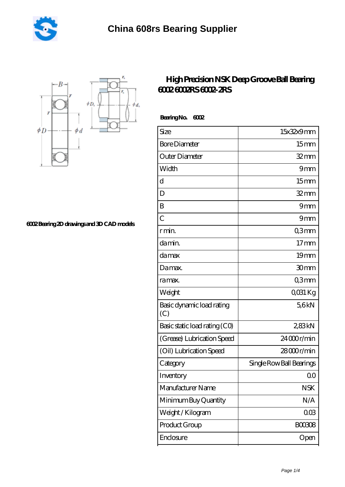



**[6002 Bearing 2D drawings and 3D CAD models](https://m.sapuri-i.com/pic-822411.html)**

## **[High Precision NSK Deep Groove Ball Bearing](https://m.sapuri-i.com/nsk-6002-Bearing/822411.html) [6002 6002RS 6002-2RS](https://m.sapuri-i.com/nsk-6002-Bearing/822411.html)**

Bearing No. 6002

| Size                             | 15x32x9mm                |
|----------------------------------|--------------------------|
| <b>Bore Diameter</b>             | 15 <sub>mm</sub>         |
| Outer Diameter                   | $32$ mm                  |
| Width                            | 9mm                      |
| d                                | 15 <sub>mm</sub>         |
| D                                | $32$ mm                  |
| B                                | 9mm                      |
| $\overline{C}$                   | 9 <sub>mm</sub>          |
| r min.                           | Q3mm                     |
| da min.                          | $17 \text{mm}$           |
| damax                            | 19 <sub>mm</sub>         |
| Damax.                           | 30mm                     |
| ra max.                          | Q3mm                     |
| Weight                           | QO31 Kg                  |
| Basic dynamic load rating<br>(C) | 56kN                     |
| Basic static load rating (CO)    | 283kN                    |
| (Grease) Lubrication Speed       | 24000r/min               |
| (Oil) Lubrication Speed          | $28000$ r/min            |
| Category                         | Single Row Ball Bearings |
| Inventory                        | 00                       |
| Manufacturer Name                | <b>NSK</b>               |
| Minimum Buy Quantity             | N/A                      |
| Weight/Kilogram                  | $00\%$                   |
| Product Group                    | <b>BOO3O8</b>            |
| Enclosure                        | Open                     |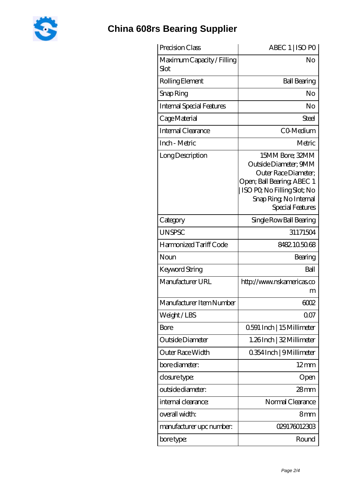

## **[China 608rs Bearing Supplier](https://m.sapuri-i.com)**

| Precision Class                    | ABEC 1   ISO PO                                                                                                                                                                    |
|------------------------------------|------------------------------------------------------------------------------------------------------------------------------------------------------------------------------------|
| Maximum Capacity / Filling<br>Slot | No                                                                                                                                                                                 |
| Rolling Element                    | <b>Ball Bearing</b>                                                                                                                                                                |
| Snap Ring                          | No                                                                                                                                                                                 |
| <b>Internal Special Features</b>   | No                                                                                                                                                                                 |
| Cage Material                      | Steel                                                                                                                                                                              |
| Internal Clearance                 | CO-Medium                                                                                                                                                                          |
| Inch - Metric                      | Metric                                                                                                                                                                             |
| Long Description                   | 15MM Bore; 32MM<br>Outside Diameter; 9MM<br>Outer Race Diameter;<br>Open; Ball Bearing; ABEC 1<br>ISO PO, No Filling Slot; No<br>Snap Ring, No Internal<br><b>Special Features</b> |
| Category                           | Single Row Ball Bearing                                                                                                                                                            |
| <b>UNSPSC</b>                      | 31171504                                                                                                                                                                           |
| Harmonized Tariff Code             | 8482105068                                                                                                                                                                         |
| Noun                               | Bearing                                                                                                                                                                            |
| Keyword String                     | Ball                                                                                                                                                                               |
| Manufacturer URL                   | http://www.nskamericas.co<br>m                                                                                                                                                     |
| Manufacturer Item Number           | 6002                                                                                                                                                                               |
| Weight / LBS                       | 0 <sub>0</sub>                                                                                                                                                                     |
| <b>Bore</b>                        | 0.591 Inch   15 Millimeter                                                                                                                                                         |
| Outside Diameter                   | 1.26Inch   32 Millimeter                                                                                                                                                           |
| Outer Race Width                   | 0.354 Inch   9 Millimeter                                                                                                                                                          |
| bore diameter:                     | $12 \text{mm}$                                                                                                                                                                     |
| closure type:                      | Open                                                                                                                                                                               |
| outside diameter:                  | $28 \text{mm}$                                                                                                                                                                     |
| internal clearance:                | Normal Clearance                                                                                                                                                                   |
| overall width:                     | 8mm                                                                                                                                                                                |
| manufacturer upc number:           | 029176012303                                                                                                                                                                       |
| bore type:                         | Round                                                                                                                                                                              |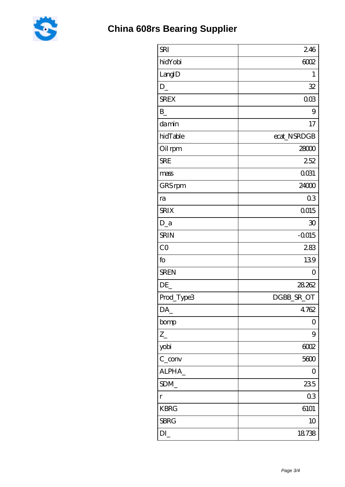

| <b>SRI</b>        | 246            |
|-------------------|----------------|
| hidYobi           | 6002           |
| LangID            | 1              |
| $D_{-}$           | 32             |
| <b>SREX</b>       | 003            |
| $\mathbf{B}$      | 9              |
| damin             | 17             |
| hidTable          | ecat_NSRDGB    |
| Oil rpm           | 28000          |
| <b>SRE</b>        | 252            |
| mass              | 0031           |
| GRS rpm           | 24000          |
| ra                | 03             |
| <b>SRIX</b>       | 0015           |
| $D_a$             | 30             |
| <b>SRIN</b>       | $-0.015$       |
| CO                | 283            |
| fo                | 139            |
| <b>SREN</b>       | $\overline{O}$ |
| DE                | 28.262         |
| Prod_Type3        | DGBB_SR_OT     |
| DA_               | 4762           |
| bomp              | 0              |
| $Z_{-}$           | 9              |
| yobi              | 6002           |
| $C_{\text{conv}}$ | 5600           |
| ALPHA_            | $\overline{O}$ |
| SDM               | 235            |
| $\Gamma$          | 03             |
| <b>KBRG</b>       | 6101           |
| <b>SBRG</b>       | 10             |
| DI                | 18738          |